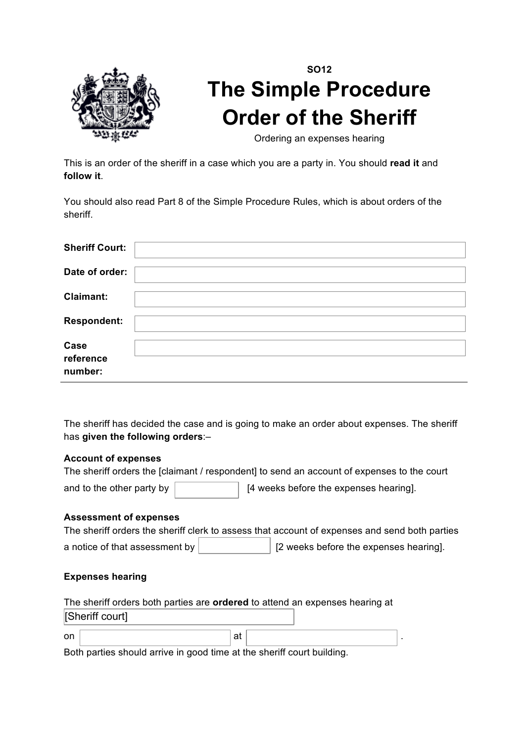

## **SO12 The Simple Procedure Order of the Sheriff**

Ordering an expenses hearing

This is an order of the sheriff in a case which you are a party in. You should **read it** and **follow it**.

You should also read Part 8 of the Simple Procedure Rules, which is about orders of the sheriff.

| <b>Sheriff Court:</b>        |  |
|------------------------------|--|
| Date of order:               |  |
| <b>Claimant:</b>             |  |
| <b>Respondent:</b>           |  |
| Case<br>reference<br>number: |  |

The sheriff has decided the case and is going to make an order about expenses. The sheriff has **given the following orders**:–

## **Account of expenses**

| The sheriff orders the [claimant / respondent] to send an account of expenses to the court |                                        |  |  |  |  |  |  |
|--------------------------------------------------------------------------------------------|----------------------------------------|--|--|--|--|--|--|
| and to the other party by                                                                  | [4 weeks before the expenses hearing]. |  |  |  |  |  |  |

## **Assessment of expenses**

|                                | The sheriff orders the sheriff clerk to assess that account of expenses and send both parties |
|--------------------------------|-----------------------------------------------------------------------------------------------|
| a notice of that assessment by | [2] weeks before the expenses hearing].                                                       |

## **Expenses hearing**

|                 |    | The sheriff orders both parties are <b>ordered</b> to attend an expenses hearing at |  |
|-----------------|----|-------------------------------------------------------------------------------------|--|
| [Sheriff court] |    |                                                                                     |  |
| on              | at |                                                                                     |  |

Both parties should arrive in good time at the sheriff court building.